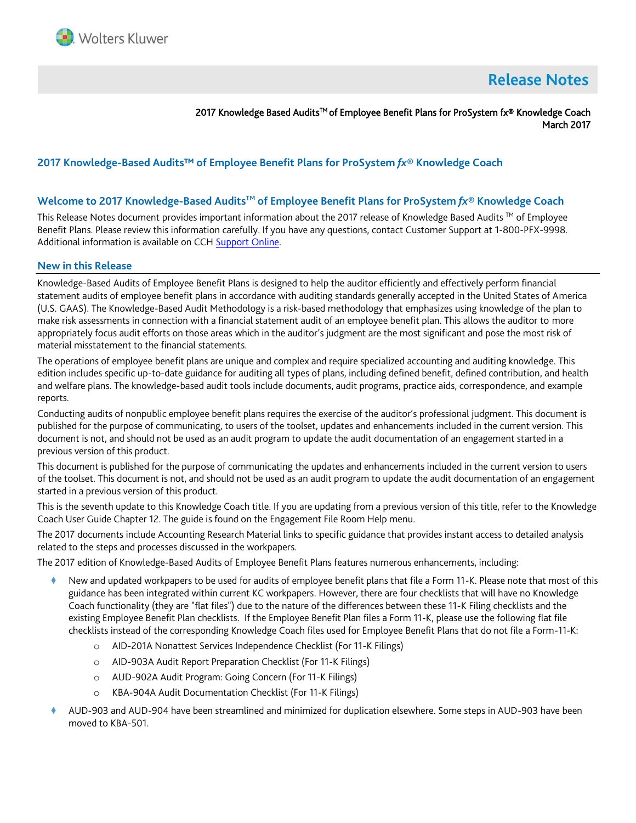

# **Release Notes**

2017 Knowledge Based AuditsTM of Employee Benefit Plans for ProSystem fx® Knowledge Coach March 2017

# **2017 Knowledge-Based Audits™ of Employee Benefit Plans for ProSystem** *fx***® Knowledge Coach**

#### **Welcome to 2017 Knowledge-Based AuditsTM of Employee Benefit Plans for ProSystem** *fx***® Knowledge Coach**

This Release Notes document provides important information about the 2017 release of Knowledge Based Audits ™ of Employee Benefit Plans. Please review this information carefully. If you have any questions, contact Customer Support at 1-800-PFX-9998. Additional information is available on CCH [Support Online.](http://support.cch.com/productsupport/)

#### **New in this Release**

Knowledge-Based Audits of Employee Benefit Plans is designed to help the auditor efficiently and effectively perform financial statement audits of employee benefit plans in accordance with auditing standards generally accepted in the United States of America (U.S. GAAS). The Knowledge-Based Audit Methodology is a risk-based methodology that emphasizes using knowledge of the plan to make risk assessments in connection with a financial statement audit of an employee benefit plan. This allows the auditor to more appropriately focus audit efforts on those areas which in the auditor's judgment are the most significant and pose the most risk of material misstatement to the financial statements.

The operations of employee benefit plans are unique and complex and require specialized accounting and auditing knowledge. This edition includes specific up-to-date guidance for auditing all types of plans, including defined benefit, defined contribution, and health and welfare plans. The knowledge-based audit tools include documents, audit programs, practice aids, correspondence, and example reports.

Conducting audits of nonpublic employee benefit plans requires the exercise of the auditor's professional judgment. This document is published for the purpose of communicating, to users of the toolset, updates and enhancements included in the current version. This document is not, and should not be used as an audit program to update the audit documentation of an engagement started in a previous version of this product.

This document is published for the purpose of communicating the updates and enhancements included in the current version to users of the toolset. This document is not, and should not be used as an audit program to update the audit documentation of an engagement started in a previous version of this product.

This is the seventh update to this Knowledge Coach title. If you are updating from a previous version of this title, refer to the Knowledge Coach User Guide Chapter 12. The guide is found on the Engagement File Room Help menu.

The 2017 documents include Accounting Research Material links to specific guidance that provides instant access to detailed analysis related to the steps and processes discussed in the workpapers.

The 2017 edition of Knowledge-Based Audits of Employee Benefit Plans features numerous enhancements, including:

- New and updated workpapers to be used for audits of employee benefit plans that file a Form 11-K. Please note that most of this guidance has been integrated within current KC workpapers. However, there are four checklists that will have no Knowledge Coach functionality (they are "flat files") due to the nature of the differences between these 11-K Filing checklists and the existing Employee Benefit Plan checklists. If the Employee Benefit Plan files a Form 11-K, please use the following flat file checklists instead of the corresponding Knowledge Coach files used for Employee Benefit Plans that do not file a Form-11-K:
	- o AID-201A Nonattest Services Independence Checklist (For 11-K Filings)
	- o AID-903A Audit Report Preparation Checklist (For 11-K Filings)
	- o AUD-902A Audit Program: Going Concern (For 11-K Filings)
	- o KBA-904A Audit Documentation Checklist (For 11-K Filings)
- AUD-903 and AUD-904 have been streamlined and minimized for duplication elsewhere. Some steps in AUD-903 have been moved to KBA-501.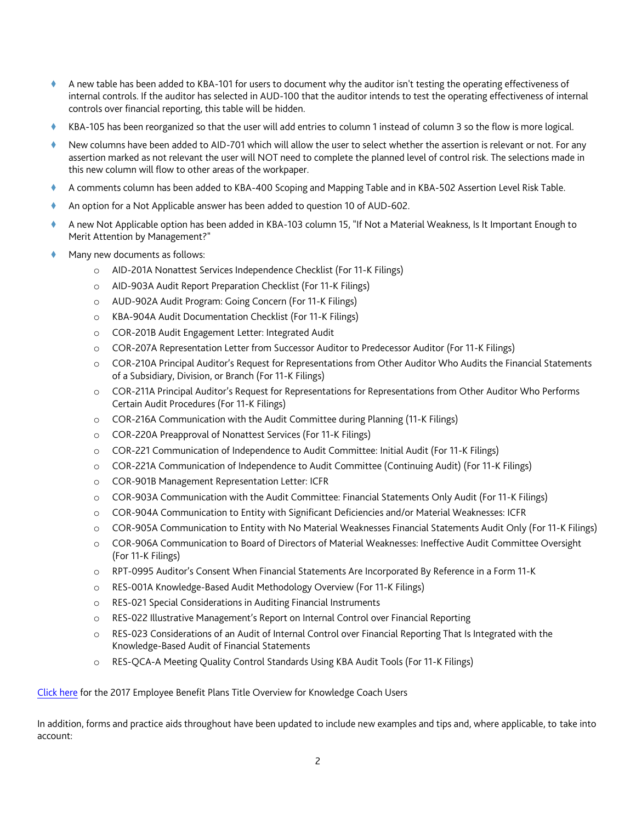- A new table has been added to KBA-101 for users to document why the auditor isn't testing the operating effectiveness of internal controls. If the auditor has selected in AUD-100 that the auditor intends to test the operating effectiveness of internal controls over financial reporting, this table will be hidden.
- KBA-105 has been reorganized so that the user will add entries to column 1 instead of column 3 so the flow is more logical.
- New columns have been added to AID-701 which will allow the user to select whether the assertion is relevant or not. For any assertion marked as not relevant the user will NOT need to complete the planned level of control risk. The selections made in this new column will flow to other areas of the workpaper.
- A comments column has been added to KBA-400 Scoping and Mapping Table and in KBA-502 Assertion Level Risk Table.
- An option for a Not Applicable answer has been added to question 10 of AUD-602.
- A new Not Applicable option has been added in KBA-103 column 15, "If Not a Material Weakness, Is It Important Enough to Merit Attention by Management?"
- Many new documents as follows:
	- o AID-201A Nonattest Services Independence Checklist (For 11-K Filings)
	- o AID-903A Audit Report Preparation Checklist (For 11-K Filings)
	- o AUD-902A Audit Program: Going Concern (For 11-K Filings)
	- o KBA-904A Audit Documentation Checklist (For 11-K Filings)
	- o COR-201B Audit Engagement Letter: Integrated Audit
	- o COR-207A Representation Letter from Successor Auditor to Predecessor Auditor (For 11-K Filings)
	- o COR-210A Principal Auditor's Request for Representations from Other Auditor Who Audits the Financial Statements of a Subsidiary, Division, or Branch (For 11-K Filings)
	- o COR-211A Principal Auditor's Request for Representations for Representations from Other Auditor Who Performs Certain Audit Procedures (For 11-K Filings)
	- o COR-216A Communication with the Audit Committee during Planning (11-K Filings)
	- o COR-220A Preapproval of Nonattest Services (For 11-K Filings)
	- o COR-221 Communication of Independence to Audit Committee: Initial Audit (For 11-K Filings)
	- o COR-221A Communication of Independence to Audit Committee (Continuing Audit) (For 11-K Filings)
	- o COR-901B Management Representation Letter: ICFR
	- o COR-903A Communication with the Audit Committee: Financial Statements Only Audit (For 11-K Filings)
	- o COR-904A Communication to Entity with Significant Deficiencies and/or Material Weaknesses: ICFR
	- o COR-905A Communication to Entity with No Material Weaknesses Financial Statements Audit Only (For 11-K Filings)
	- o COR-906A Communication to Board of Directors of Material Weaknesses: Ineffective Audit Committee Oversight (For 11-K Filings)
	- o RPT-0995 Auditor's Consent When Financial Statements Are Incorporated By Reference in a Form 11-K
	- o RES-001A Knowledge-Based Audit Methodology Overview (For 11-K Filings)
	- o RES-021 Special Considerations in Auditing Financial Instruments
	- o RES-022 Illustrative Management's Report on Internal Control over Financial Reporting
	- o RES-023 Considerations of an Audit of Internal Control over Financial Reporting That Is Integrated with the Knowledge-Based Audit of Financial Statements
	- o RES-QCA-A Meeting Quality Control Standards Using KBA Audit Tools (For 11-K Filings)

[Click here](http://support.cch.com/updates/KnowledgeCoach/pdf/guides_tab/2017%20Employee%20Benefit%20Plans%20Title%20Overview%20for%20Knowledge%20Coach%20Users.pdf) for the 2017 Employee Benefit Plans Title Overview for Knowledge Coach Users

In addition, forms and practice aids throughout have been updated to include new examples and tips and, where applicable, to take into account: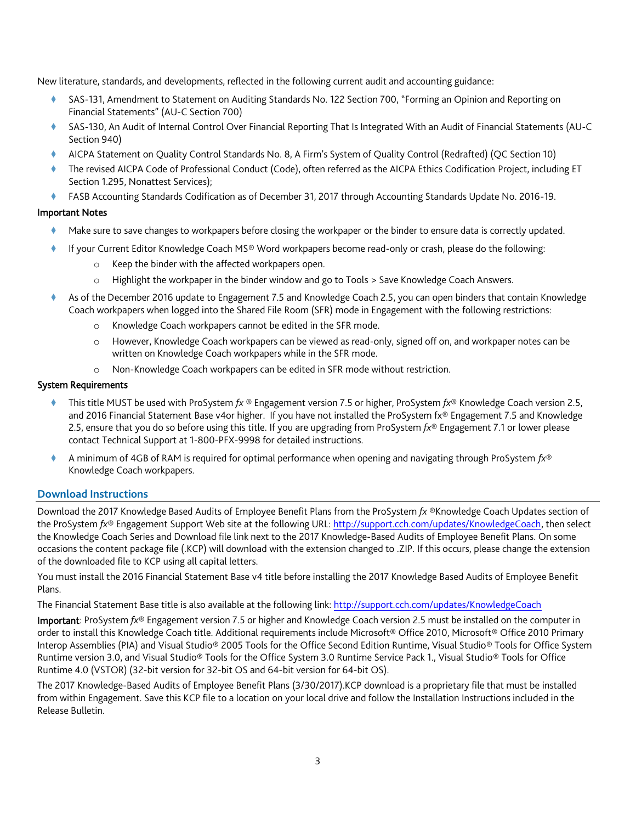New literature, standards, and developments, reflected in the following current audit and accounting guidance:

- SAS-131, Amendment to Statement on Auditing Standards No. 122 Section 700, "Forming an Opinion and Reporting on Financial Statements" (AU-C Section 700)
- SAS-130, An Audit of Internal Control Over Financial Reporting That Is Integrated With an Audit of Financial Statements (AU-C Section 940)
- AICPA Statement on Quality Control Standards No. 8, A Firm's System of Quality Control (Redrafted) (QC Section 10)
- The revised AICPA Code of Professional Conduct (Code), often referred as the AICPA Ethics Codification Project, including ET Section 1.295, Nonattest Services);
- FASB Accounting Standards Codification as of December 31, 2017 through Accounting Standards Update No. 2016-19.

## Important Notes

- Make sure to save changes to workpapers before closing the workpaper or the binder to ensure data is correctly updated.
- If your Current Editor Knowledge Coach MS® Word workpapers become read-only or crash, please do the following:
	- o Keep the binder with the affected workpapers open.
	- o Highlight the workpaper in the binder window and go to Tools > Save Knowledge Coach Answers.
- As of the December 2016 update to Engagement 7.5 and Knowledge Coach 2.5, you can open binders that contain Knowledge Coach workpapers when logged into the Shared File Room (SFR) mode in Engagement with the following restrictions:
	- o Knowledge Coach workpapers cannot be edited in the SFR mode.
	- o However, Knowledge Coach workpapers can be viewed as read-only, signed off on, and workpaper notes can be written on Knowledge Coach workpapers while in the SFR mode.
	- o Non-Knowledge Coach workpapers can be edited in SFR mode without restriction.

## System Requirements

- This title MUST be used with ProSystem *fx* ® Engagement version 7.5 or higher, ProSystem *fx*® Knowledge Coach version 2.5, and 2016 Financial Statement Base v4or higher. If you have not installed the ProSystem fx® Engagement 7.5 and Knowledge 2.5, ensure that you do so before using this title. If you are upgrading from ProSystem *fx*® Engagement 7.1 or lower please contact Technical Support at 1-800-PFX-9998 for detailed instructions.
- A minimum of 4GB of RAM is required for optimal performance when opening and navigating through ProSystem *fx*® Knowledge Coach workpapers.

## **Download Instructions**

Download the 2017 Knowledge Based Audits of Employee Benefit Plans from the ProSystem *fx* ®Knowledge Coach Updates section of the ProSystem *fx*® Engagement Support Web site at the following URL: [http://support.cch.com/updates/KnowledgeCoach,](http://support.cch.com/updates/KnowledgeCoach) then select the Knowledge Coach Series and Download file link next to the 2017 Knowledge-Based Audits of Employee Benefit Plans. On some occasions the content package file (.KCP) will download with the extension changed to .ZIP. If this occurs, please change the extension of the downloaded file to KCP using all capital letters.

You must install the 2016 Financial Statement Base v4 title before installing the 2017 Knowledge Based Audits of Employee Benefit Plans.

The Financial Statement Base title is also available at the following link[: http://support.cch.com/updates/KnowledgeCoach](http://support.cch.com/updates/KnowledgeCoach)

Important: ProSystem *fx*® Engagement version 7.5 or higher and Knowledge Coach version 2.5 must be installed on the computer in order to install this Knowledge Coach title. Additional requirements include Microsoft® Office 2010, Microsoft® Office 2010 Primary Interop Assemblies (PIA) and Visual Studio® 2005 Tools for the Office Second Edition Runtime, Visual Studio® Tools for Office System Runtime version 3.0, and Visual Studio® Tools for the Office System 3.0 Runtime Service Pack 1., Visual Studio® Tools for Office Runtime 4.0 (VSTOR) (32-bit version for 32-bit OS and 64-bit version for 64-bit OS).

The 2017 Knowledge-Based Audits of Employee Benefit Plans (3/30/2017).KCP download is a proprietary file that must be installed from within Engagement. Save this KCP file to a location on your local drive and follow the Installation Instructions included in the Release Bulletin.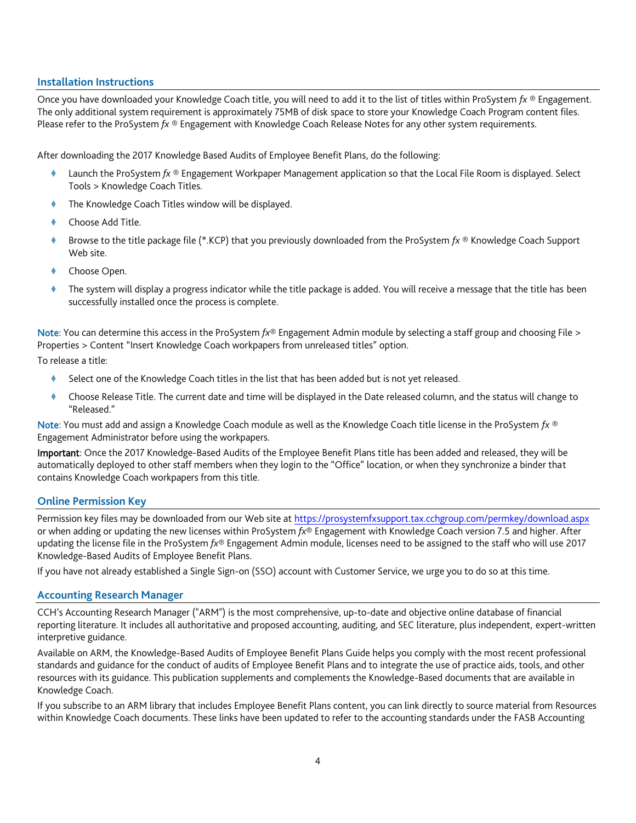#### **Installation Instructions**

Once you have downloaded your Knowledge Coach title, you will need to add it to the list of titles within ProSystem *fx* ® Engagement. The only additional system requirement is approximately 75MB of disk space to store your Knowledge Coach Program content files. Please refer to the ProSystem *fx* ® Engagement with Knowledge Coach Release Notes for any other system requirements.

After downloading the 2017 Knowledge Based Audits of Employee Benefit Plans, do the following:

- Launch the ProSystem *fx* ® Engagement Workpaper Management application so that the Local File Room is displayed. Select Tools > Knowledge Coach Titles.
- The Knowledge Coach Titles window will be displayed.
- Choose Add Title.
- Browse to the title package file (\*.KCP) that you previously downloaded from the ProSystem *fx* ® Knowledge Coach Support Web site.
- Choose Open.
- The system will display a progress indicator while the title package is added. You will receive a message that the title has been successfully installed once the process is complete.

Note: You can determine this access in the ProSystem *fx*® Engagement Admin module by selecting a staff group and choosing File > Properties > Content "Insert Knowledge Coach workpapers from unreleased titles" option.

To release a title:

- Select one of the Knowledge Coach titles in the list that has been added but is not yet released.
- Choose Release Title. The current date and time will be displayed in the Date released column, and the status will change to "Released."

Note: You must add and assign a Knowledge Coach module as well as the Knowledge Coach title license in the ProSystem *fx* ® Engagement Administrator before using the workpapers.

Important: Once the 2017 Knowledge-Based Audits of the Employee Benefit Plans title has been added and released, they will be automatically deployed to other staff members when they login to the "Office" location, or when they synchronize a binder that contains Knowledge Coach workpapers from this title.

#### **Online Permission Key**

Permission key files may be downloaded from our Web site a[t https://prosystemfxsupport.tax.cchgroup.com/permkey/download.aspx](https://prosystemfxsupport.tax.cchgroup.com/permkey/download.aspx) or when adding or updating the new licenses within ProSystem *fx*® Engagement with Knowledge Coach version 7.5 and higher. After updating the license file in the ProSystem *fx*® Engagement Admin module, licenses need to be assigned to the staff who will use 2017 Knowledge-Based Audits of Employee Benefit Plans.

If you have not already established a Single Sign-on (SSO) account with Customer Service, we urge you to do so at this time.

#### **Accounting Research Manager**

CCH's Accounting Research Manager ("ARM") is the most comprehensive, up-to-date and objective online database of financial reporting literature. It includes all authoritative and proposed accounting, auditing, and SEC literature, plus independent, expert-written interpretive guidance.

Available on ARM, the Knowledge-Based Audits of Employee Benefit Plans Guide helps you comply with the most recent professional standards and guidance for the conduct of audits of Employee Benefit Plans and to integrate the use of practice aids, tools, and other resources with its guidance. This publication supplements and complements the Knowledge-Based documents that are available in Knowledge Coach.

If you subscribe to an ARM library that includes Employee Benefit Plans content, you can link directly to source material from Resources within Knowledge Coach documents. These links have been updated to refer to the accounting standards under the FASB Accounting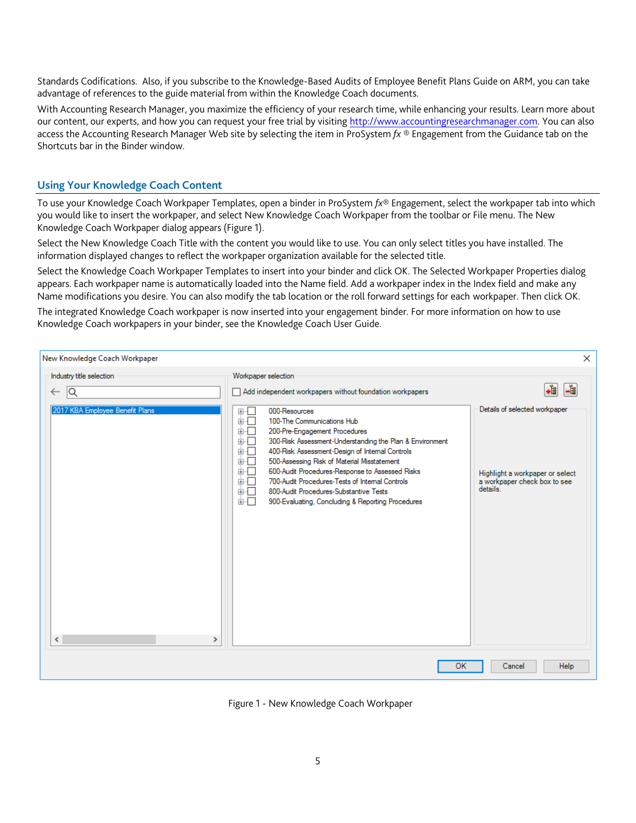Standards Codifications. Also, if you subscribe to the Knowledge-Based Audits of Employee Benefit Plans Guide on ARM, you can take advantage of references to the guide material from within the Knowledge Coach documents.

With Accounting Research Manager, you maximize the efficiency of your research time, while enhancing your results. Learn more about our content, our experts, and how you can request your free trial by visiting [http://www.accountingresearchmanager.com.](http://www.accountingresearchmanager.com/) You can also access the Accounting Research Manager Web site by selecting the item in ProSystem *fx* ® Engagement from the Guidance tab on the Shortcuts bar in the Binder window.

## **Using Your Knowledge Coach Content**

To use your Knowledge Coach Workpaper Templates, open a binder in ProSystem *fx*® Engagement, select the workpaper tab into which you would like to insert the workpaper, and select New Knowledge Coach Workpaper from the toolbar or File menu. The New Knowledge Coach Workpaper dialog appears (Figure 1).

Select the New Knowledge Coach Title with the content you would like to use. You can only select titles you have installed. The information displayed changes to reflect the workpaper organization available for the selected title.

Select the Knowledge Coach Workpaper Templates to insert into your binder and click OK. The Selected Workpaper Properties dialog appears. Each workpaper name is automatically loaded into the Name field. Add a workpaper index in the Index field and make any Name modifications you desire. You can also modify the tab location or the roll forward settings for each workpaper. Then click OK.

The integrated Knowledge Coach workpaper is now inserted into your engagement binder. For more information on how to use Knowledge Coach workpapers in your binder, see the Knowledge Coach User Guide.

| New Knowledge Coach Workpaper                                                     |                                                                                                                                                                                                                                                                                                                                                                                                                                                                                                                                                                                                   | $\times$                                                                                                                        |
|-----------------------------------------------------------------------------------|---------------------------------------------------------------------------------------------------------------------------------------------------------------------------------------------------------------------------------------------------------------------------------------------------------------------------------------------------------------------------------------------------------------------------------------------------------------------------------------------------------------------------------------------------------------------------------------------------|---------------------------------------------------------------------------------------------------------------------------------|
| Industry title selection<br> Q<br>$\leftarrow$<br>2017 KBA Employee Benefit Plans | Workpaper selection<br>Add independent workpapers without foundation workpapers<br>000-Resources<br>国…二<br>100-The Communications Hub<br>面板<br>200-Pre-Engagement Procedures<br>画「<br>由…<br>300-Risk Assessment-Understanding the Plan & Environment<br>400-Risk Assessment-Design of Internal Controls<br>画画<br>500-Assessing Risk of Material Misstatement<br>画画<br>600-Audit Procedures-Response to Assessed Risks<br>画画<br>700-Audit Procedures-Tests of Internal Controls<br>面一<br>800-Audit Procedures-Substantive Tests<br>面一<br>के⊹⊟<br>900-Evaluating, Concluding & Reporting Procedures | ٠ŧ<br><b>Le</b><br>Details of selected workpaper<br>Highlight a workpaper or select<br>a workpaper check box to see<br>details. |
| $\overline{\phantom{a}}$<br>$\rightarrow$                                         | OK                                                                                                                                                                                                                                                                                                                                                                                                                                                                                                                                                                                                | <b>Help</b><br>Cancel                                                                                                           |

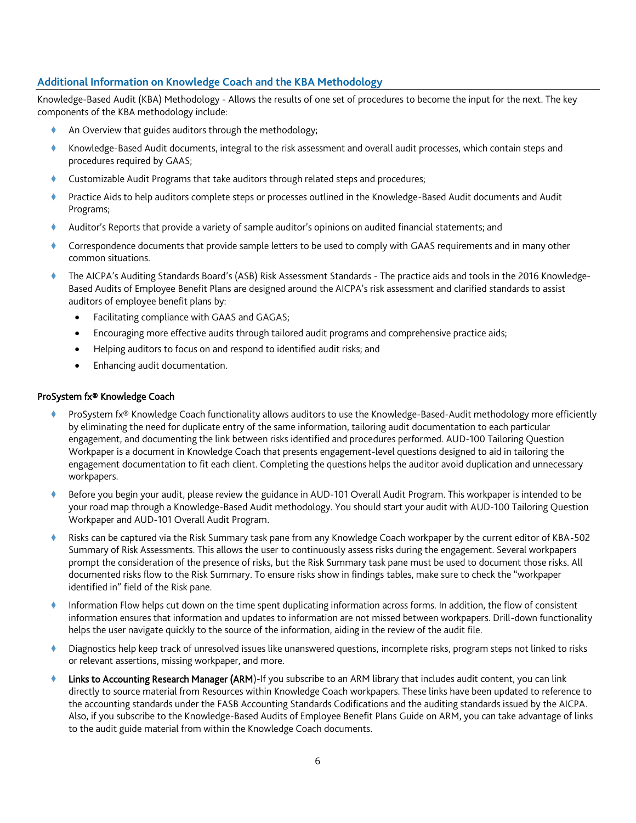## **Additional Information on Knowledge Coach and the KBA Methodology**

Knowledge-Based Audit (KBA) Methodology - Allows the results of one set of procedures to become the input for the next. The key components of the KBA methodology include:

- An Overview that guides auditors through the methodology;
- Knowledge-Based Audit documents, integral to the risk assessment and overall audit processes, which contain steps and procedures required by GAAS;
- Customizable Audit Programs that take auditors through related steps and procedures;
- Practice Aids to help auditors complete steps or processes outlined in the Knowledge-Based Audit documents and Audit Programs;
- Auditor's Reports that provide a variety of sample auditor's opinions on audited financial statements; and
- Correspondence documents that provide sample letters to be used to comply with GAAS requirements and in many other common situations.
- The AICPA's Auditing Standards Board's (ASB) Risk Assessment Standards The practice aids and tools in the 2016 Knowledge-Based Audits of Employee Benefit Plans are designed around the AICPA's risk assessment and clarified standards to assist auditors of employee benefit plans by:
	- Facilitating compliance with GAAS and GAGAS;
	- Encouraging more effective audits through tailored audit programs and comprehensive practice aids;
	- Helping auditors to focus on and respond to identified audit risks; and
	- Enhancing audit documentation.

#### ProSystem fx® Knowledge Coach

- ProSystem fx® Knowledge Coach functionality allows auditors to use the Knowledge-Based-Audit methodology more efficiently by eliminating the need for duplicate entry of the same information, tailoring audit documentation to each particular engagement, and documenting the link between risks identified and procedures performed. AUD-100 Tailoring Question Workpaper is a document in Knowledge Coach that presents engagement-level questions designed to aid in tailoring the engagement documentation to fit each client. Completing the questions helps the auditor avoid duplication and unnecessary workpapers.
- Before you begin your audit, please review the guidance in AUD-101 Overall Audit Program. This workpaper is intended to be your road map through a Knowledge-Based Audit methodology. You should start your audit with AUD-100 Tailoring Question Workpaper and AUD-101 Overall Audit Program.
- Risks can be captured via the Risk Summary task pane from any Knowledge Coach workpaper by the current editor of KBA-502 Summary of Risk Assessments. This allows the user to continuously assess risks during the engagement. Several workpapers prompt the consideration of the presence of risks, but the Risk Summary task pane must be used to document those risks. All documented risks flow to the Risk Summary. To ensure risks show in findings tables, make sure to check the "workpaper identified in" field of the Risk pane.
- Information Flow helps cut down on the time spent duplicating information across forms. In addition, the flow of consistent information ensures that information and updates to information are not missed between workpapers. Drill-down functionality helps the user navigate quickly to the source of the information, aiding in the review of the audit file.
- Diagnostics help keep track of unresolved issues like unanswered questions, incomplete risks, program steps not linked to risks or relevant assertions, missing workpaper, and more.
- Links to Accounting Research Manager (ARM)-If you subscribe to an ARM library that includes audit content, you can link directly to source material from Resources within Knowledge Coach workpapers. These links have been updated to reference to the accounting standards under the FASB Accounting Standards Codifications and the auditing standards issued by the AICPA. Also, if you subscribe to the Knowledge-Based Audits of Employee Benefit Plans Guide on ARM, you can take advantage of links to the audit guide material from within the Knowledge Coach documents.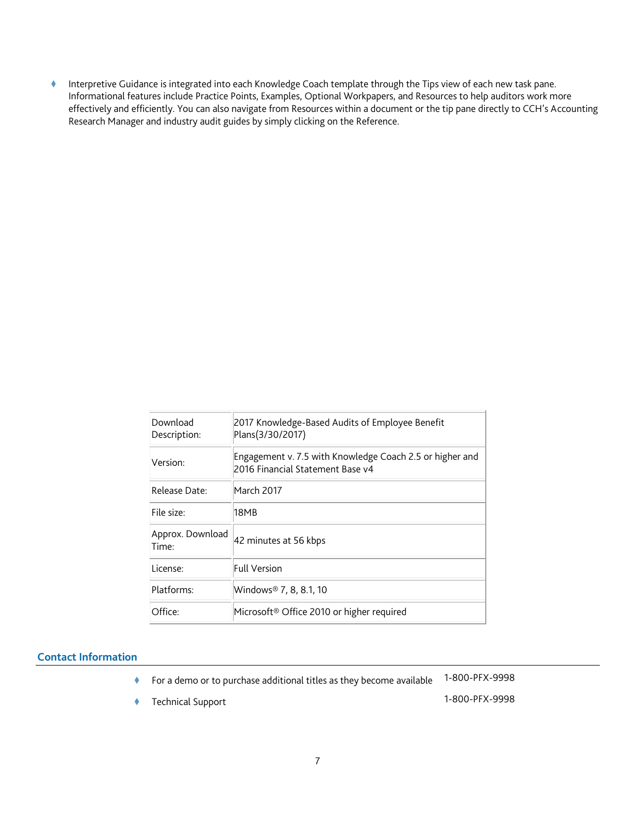Interpretive Guidance is integrated into each Knowledge Coach template through the Tips view of each new task pane. Informational features include Practice Points, Examples, Optional Workpapers, and Resources to help auditors work more effectively and efficiently. You can also navigate from Resources within a document or the tip pane directly to CCH's Accounting Research Manager and industry audit guides by simply clicking on the Reference.

| Download<br>Description:  | 2017 Knowledge-Based Audits of Employee Benefit<br>Plans(3/30/2017)                          |
|---------------------------|----------------------------------------------------------------------------------------------|
| Version:                  | Engagement v. 7.5 with Knowledge Coach 2.5 or higher and<br>2016 Financial Statement Base v4 |
| Release Date:             | March 2017                                                                                   |
| File size:                | 18MB                                                                                         |
| Approx. Download<br>Time: | 42 minutes at 56 kbps                                                                        |
| License:                  | Full Version                                                                                 |
| Platforms:                | Windows® 7, 8, 8.1, 10                                                                       |
| Office:                   | Microsoft <sup>®</sup> Office 2010 or higher required                                        |

#### **Contact Information**

- For a demo or to purchase additional titles as they become available 1-800-PFX-9998
- Technical Support 1-800-PFX-9998